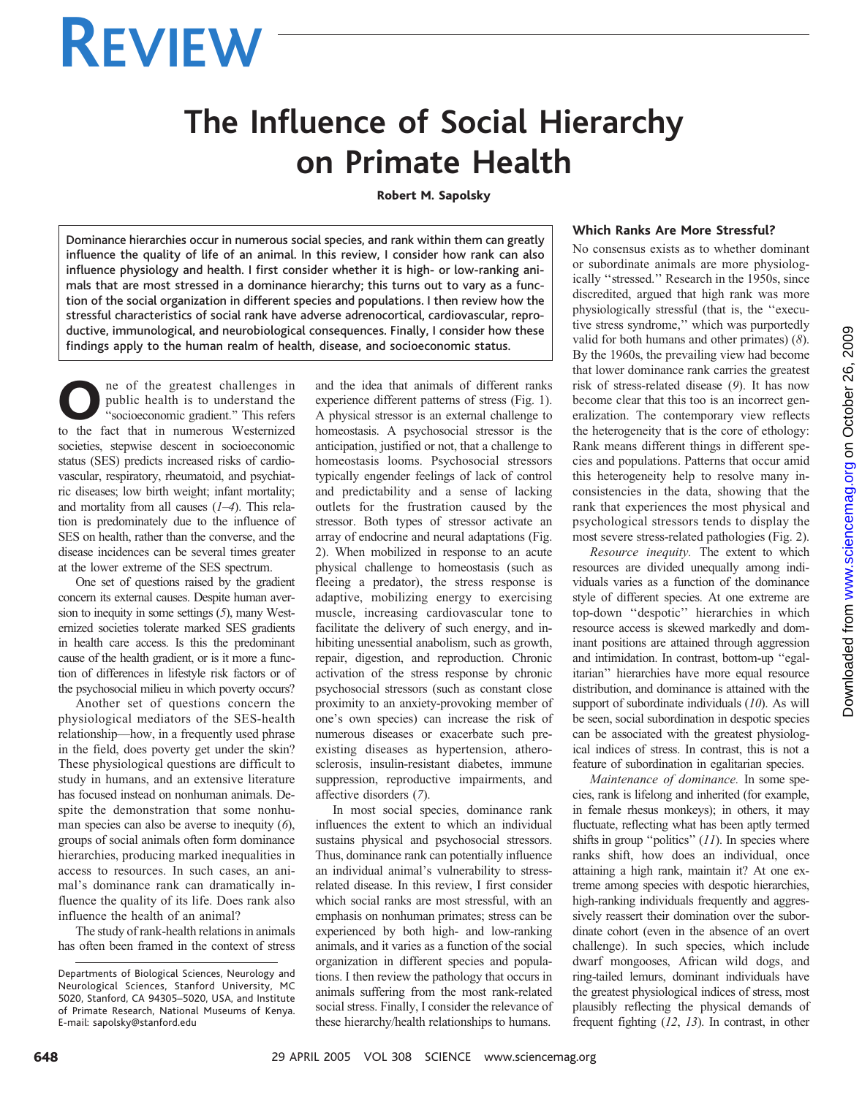# REVIEW

## The Influence of Social Hierarchy on Primate Health

Robert M. Sapolsky

Dominance hierarchies occur in numerous social species, and rank within them can greatly influence the quality of life of an animal. In this review, I consider how rank can also influence physiology and health. I first consider whether it is high- or low-ranking animals that are most stressed in a dominance hierarchy; this turns out to vary as a function of the social organization in different species and populations. I then review how the stressful characteristics of social rank have adverse adrenocortical, cardiovascular, reproductive, immunological, and neurobiological consequences. Finally, I consider how these findings apply to the human realm of health, disease, and socioeconomic status.

ne of the greatest challenges in public health is to understand the "socioeconomic gradient." This refers to the fact that in numerous Westernized societies, stepwise descent in socioeconomic status (SES) predicts increased risks of cardiovascular, respiratory, rheumatoid, and psychiatric diseases; low birth weight; infant mortality; and mortality from all causes  $(1-4)$ . This relation is predominately due to the influence of SES on health, rather than the converse, and the disease incidences can be several times greater at the lower extreme of the SES spectrum.

One set of questions raised by the gradient concern its external causes. Despite human aversion to inequity in some settings (5), many Westernized societies tolerate marked SES gradients in health care access. Is this the predominant cause of the health gradient, or is it more a function of differences in lifestyle risk factors or of the psychosocial milieu in which poverty occurs?

Another set of questions concern the physiological mediators of the SES-health relationship—how, in a frequently used phrase in the field, does poverty get under the skin? These physiological questions are difficult to study in humans, and an extensive literature has focused instead on nonhuman animals. Despite the demonstration that some nonhuman species can also be averse to inequity  $(6)$ , groups of social animals often form dominance hierarchies, producing marked inequalities in access to resources. In such cases, an animal's dominance rank can dramatically influence the quality of its life. Does rank also influence the health of an animal?

The study of rank-health relations in animals has often been framed in the context of stress

and the idea that animals of different ranks experience different patterns of stress (Fig. 1). A physical stressor is an external challenge to homeostasis. A psychosocial stressor is the anticipation, justified or not, that a challenge to homeostasis looms. Psychosocial stressors typically engender feelings of lack of control and predictability and a sense of lacking outlets for the frustration caused by the stressor. Both types of stressor activate an array of endocrine and neural adaptations (Fig. 2). When mobilized in response to an acute physical challenge to homeostasis (such as fleeing a predator), the stress response is adaptive, mobilizing energy to exercising muscle, increasing cardiovascular tone to facilitate the delivery of such energy, and inhibiting unessential anabolism, such as growth, repair, digestion, and reproduction. Chronic activation of the stress response by chronic psychosocial stressors (such as constant close proximity to an anxiety-provoking member of one's own species) can increase the risk of numerous diseases or exacerbate such preexisting diseases as hypertension, atherosclerosis, insulin-resistant diabetes, immune suppression, reproductive impairments, and affective disorders (7).

In most social species, dominance rank influences the extent to which an individual sustains physical and psychosocial stressors. Thus, dominance rank can potentially influence an individual animal's vulnerability to stressrelated disease. In this review, I first consider which social ranks are most stressful, with an emphasis on nonhuman primates; stress can be experienced by both high- and low-ranking animals, and it varies as a function of the social organization in different species and populations. I then review the pathology that occurs in animals suffering from the most rank-related social stress. Finally, I consider the relevance of these hierarchy/health relationships to humans.

### Which Ranks Are More Stressful?

No consensus exists as to whether dominant or subordinate animals are more physiologically ''stressed.'' Research in the 1950s, since discredited, argued that high rank was more physiologically stressful (that is, the ''executive stress syndrome,'' which was purportedly valid for both humans and other primates) (8). By the 1960s, the prevailing view had become that lower dominance rank carries the greatest risk of stress-related disease (9). It has now become clear that this too is an incorrect generalization. The contemporary view reflects the heterogeneity that is the core of ethology: Rank means different things in different species and populations. Patterns that occur amid this heterogeneity help to resolve many inconsistencies in the data, showing that the rank that experiences the most physical and psychological stressors tends to display the most severe stress-related pathologies (Fig. 2).

Resource inequity. The extent to which resources are divided unequally among individuals varies as a function of the dominance style of different species. At one extreme are top-down ''despotic'' hierarchies in which resource access is skewed markedly and dominant positions are attained through aggression and intimidation. In contrast, bottom-up ''egalitarian'' hierarchies have more equal resource distribution, and dominance is attained with the support of subordinate individuals (10). As will be seen, social subordination in despotic species can be associated with the greatest physiological indices of stress. In contrast, this is not a feature of subordination in egalitarian species.

Maintenance of dominance. In some species, rank is lifelong and inherited (for example, in female rhesus monkeys); in others, it may fluctuate, reflecting what has been aptly termed shifts in group "politics"  $(11)$ . In species where ranks shift, how does an individual, once attaining a high rank, maintain it? At one extreme among species with despotic hierarchies, high-ranking individuals frequently and aggressively reassert their domination over the subordinate cohort (even in the absence of an overt challenge). In such species, which include dwarf mongooses, African wild dogs, and ring-tailed lemurs, dominant individuals have the greatest physiological indices of stress, most plausibly reflecting the physical demands of frequent fighting (12, 13). In contrast, in other

Departments of Biological Sciences, Neurology and Neurological Sciences, Stanford University, MC 5020, Stanford, CA 94305–5020, USA, and Institute of Primate Research, National Museums of Kenya. E-mail: sapolsky@stanford.edu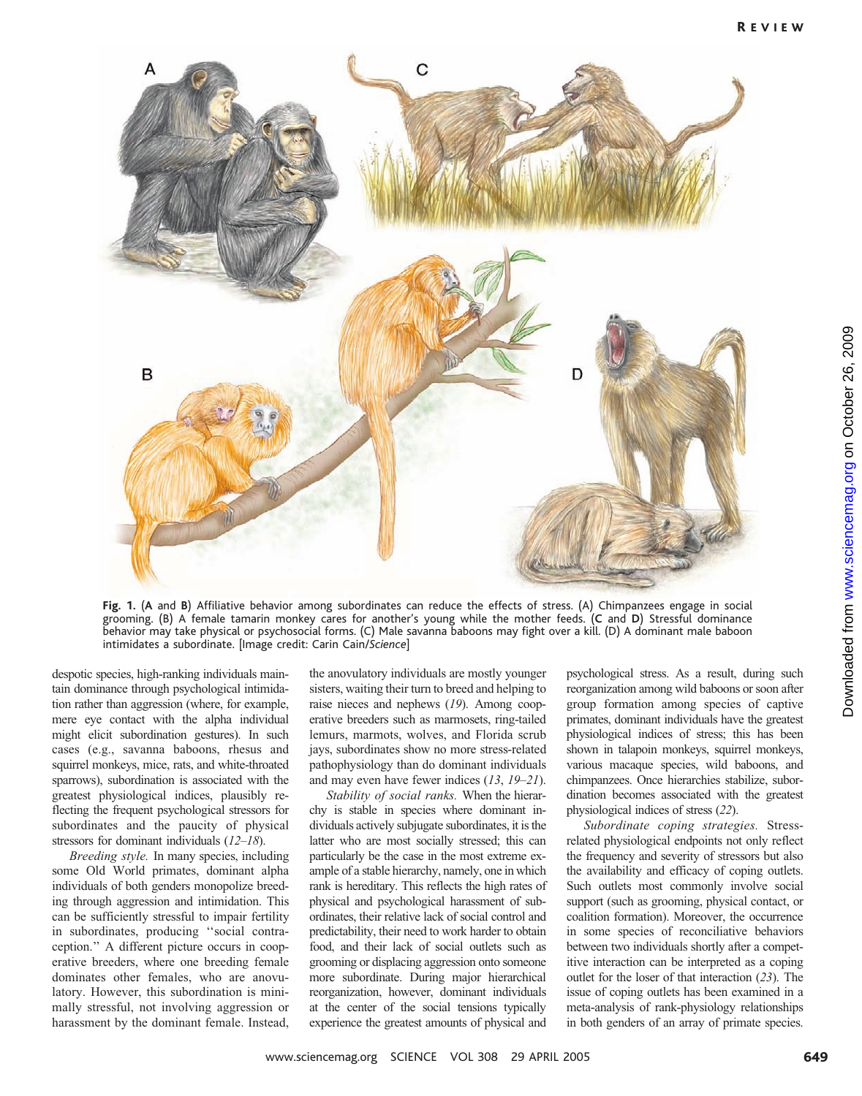

Fig. 1. (A and B) Affiliative behavior among subordinates can reduce the effects of stress. (A) Chimpanzees engage in social grooming. (B) A female tamarin monkey cares for another's young while the mother feeds. (C and D) Stressful dominance behavior may take physical or psychosocial forms. (C) Male savanna baboons may fight over a kill. (D) A dominant male baboon intimidates a subordinate. [Image credit: Carin Cain/Science]

despotic species, high-ranking individuals maintain dominance through psychological intimidation rather than aggression (where, for example, mere eye contact with the alpha individual might elicit subordination gestures). In such cases (e.g., savanna baboons, rhesus and squirrel monkeys, mice, rats, and white-throated sparrows), subordination is associated with the greatest physiological indices, plausibly reflecting the frequent psychological stressors for subordinates and the paucity of physical stressors for dominant individuals (12–18).

Breeding style. In many species, including some Old World primates, dominant alpha individuals of both genders monopolize breeding through aggression and intimidation. This can be sufficiently stressful to impair fertility in subordinates, producing ''social contraception.'' A different picture occurs in cooperative breeders, where one breeding female dominates other females, who are anovulatory. However, this subordination is minimally stressful, not involving aggression or harassment by the dominant female. Instead,

the anovulatory individuals are mostly younger sisters, waiting their turn to breed and helping to raise nieces and nephews (19). Among cooperative breeders such as marmosets, ring-tailed lemurs, marmots, wolves, and Florida scrub jays, subordinates show no more stress-related pathophysiology than do dominant individuals and may even have fewer indices (13, 19–21).

Stability of social ranks. When the hierarchy is stable in species where dominant individuals actively subjugate subordinates, it is the latter who are most socially stressed; this can particularly be the case in the most extreme example of a stable hierarchy, namely, one in which rank is hereditary. This reflects the high rates of physical and psychological harassment of subordinates, their relative lack of social control and predictability, their need to work harder to obtain food, and their lack of social outlets such as grooming or displacing aggression onto someone more subordinate. During major hierarchical reorganization, however, dominant individuals at the center of the social tensions typically experience the greatest amounts of physical and

psychological stress. As a result, during such reorganization among wild baboons or soon after group formation among species of captive primates, dominant individuals have the greatest physiological indices of stress; this has been shown in talapoin monkeys, squirrel monkeys, various macaque species, wild baboons, and chimpanzees. Once hierarchies stabilize, subordination becomes associated with the greatest physiological indices of stress (22).

Subordinate coping strategies. Stressrelated physiological endpoints not only reflect the frequency and severity of stressors but also the availability and efficacy of coping outlets. Such outlets most commonly involve social support (such as grooming, physical contact, or coalition formation). Moreover, the occurrence in some species of reconciliative behaviors between two individuals shortly after a competitive interaction can be interpreted as a coping outlet for the loser of that interaction (23). The issue of coping outlets has been examined in a meta-analysis of rank-physiology relationships in both genders of an array of primate species.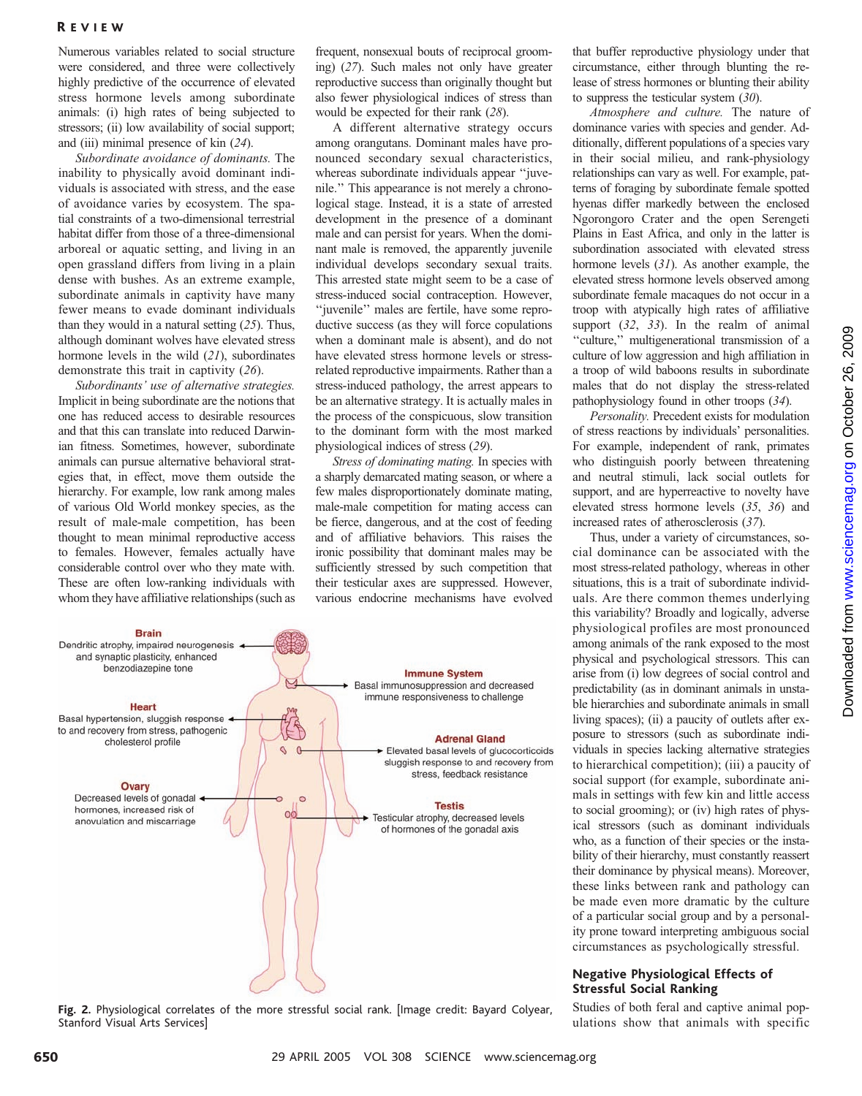Numerous variables related to social structure were considered, and three were collectively highly predictive of the occurrence of elevated stress hormone levels among subordinate animals: (i) high rates of being subjected to stressors; (ii) low availability of social support; and (iii) minimal presence of kin (24).

Subordinate avoidance of dominants. The inability to physically avoid dominant individuals is associated with stress, and the ease of avoidance varies by ecosystem. The spatial constraints of a two-dimensional terrestrial habitat differ from those of a three-dimensional arboreal or aquatic setting, and living in an open grassland differs from living in a plain dense with bushes. As an extreme example, subordinate animals in captivity have many fewer means to evade dominant individuals than they would in a natural setting  $(25)$ . Thus, although dominant wolves have elevated stress hormone levels in the wild (21), subordinates demonstrate this trait in captivity (26).

Subordinants' use of alternative strategies. Implicit in being subordinate are the notions that one has reduced access to desirable resources and that this can translate into reduced Darwinian fitness. Sometimes, however, subordinate animals can pursue alternative behavioral strategies that, in effect, move them outside the hierarchy. For example, low rank among males of various Old World monkey species, as the result of male-male competition, has been thought to mean minimal reproductive access to females. However, females actually have considerable control over who they mate with. These are often low-ranking individuals with whom they have affiliative relationships (such as

frequent, nonsexual bouts of reciprocal grooming) (27). Such males not only have greater reproductive success than originally thought but also fewer physiological indices of stress than would be expected for their rank (28).

A different alternative strategy occurs among orangutans. Dominant males have pronounced secondary sexual characteristics, whereas subordinate individuals appear ''juvenile.'' This appearance is not merely a chronological stage. Instead, it is a state of arrested development in the presence of a dominant male and can persist for years. When the dominant male is removed, the apparently juvenile individual develops secondary sexual traits. This arrested state might seem to be a case of stress-induced social contraception. However, ''juvenile'' males are fertile, have some reproductive success (as they will force copulations when a dominant male is absent), and do not have elevated stress hormone levels or stressrelated reproductive impairments. Rather than a stress-induced pathology, the arrest appears to be an alternative strategy. It is actually males in the process of the conspicuous, slow transition to the dominant form with the most marked physiological indices of stress (29).

Stress of dominating mating. In species with a sharply demarcated mating season, or where a few males disproportionately dominate mating, male-male competition for mating access can be fierce, dangerous, and at the cost of feeding and of affiliative behaviors. This raises the ironic possibility that dominant males may be sufficiently stressed by such competition that their testicular axes are suppressed. However, various endocrine mechanisms have evolved



Fig. 2. Physiological correlates of the more stressful social rank. [Image credit: Bayard Colyear, Stanford Visual Arts Services]

that buffer reproductive physiology under that circumstance, either through blunting the release of stress hormones or blunting their ability to suppress the testicular system (30).

Atmosphere and culture. The nature of dominance varies with species and gender. Additionally, different populations of a species vary in their social milieu, and rank-physiology relationships can vary as well. For example, patterns of foraging by subordinate female spotted hyenas differ markedly between the enclosed Ngorongoro Crater and the open Serengeti Plains in East Africa, and only in the latter is subordination associated with elevated stress hormone levels (31). As another example, the elevated stress hormone levels observed among subordinate female macaques do not occur in a troop with atypically high rates of affiliative support  $(32, 33)$ . In the realm of animal ''culture,'' multigenerational transmission of a culture of low aggression and high affiliation in a troop of wild baboons results in subordinate males that do not display the stress-related pathophysiology found in other troops (34).

Personality. Precedent exists for modulation of stress reactions by individuals' personalities. For example, independent of rank, primates who distinguish poorly between threatening and neutral stimuli, lack social outlets for support, and are hyperreactive to novelty have elevated stress hormone levels (35, 36) and increased rates of atherosclerosis (37).

Thus, under a variety of circumstances, social dominance can be associated with the most stress-related pathology, whereas in other situations, this is a trait of subordinate individuals. Are there common themes underlying this variability? Broadly and logically, adverse physiological profiles are most pronounced among animals of the rank exposed to the most physical and psychological stressors. This can arise from (i) low degrees of social control and predictability (as in dominant animals in unstable hierarchies and subordinate animals in small living spaces); (ii) a paucity of outlets after exposure to stressors (such as subordinate individuals in species lacking alternative strategies to hierarchical competition); (iii) a paucity of social support (for example, subordinate animals in settings with few kin and little access to social grooming); or (iv) high rates of physical stressors (such as dominant individuals who, as a function of their species or the instability of their hierarchy, must constantly reassert their dominance by physical means). Moreover, these links between rank and pathology can be made even more dramatic by the culture of a particular social group and by a personality prone toward interpreting ambiguous social circumstances as psychologically stressful.

#### Negative Physiological Effects of Stressful Social Ranking

Studies of both feral and captive animal populations show that animals with specific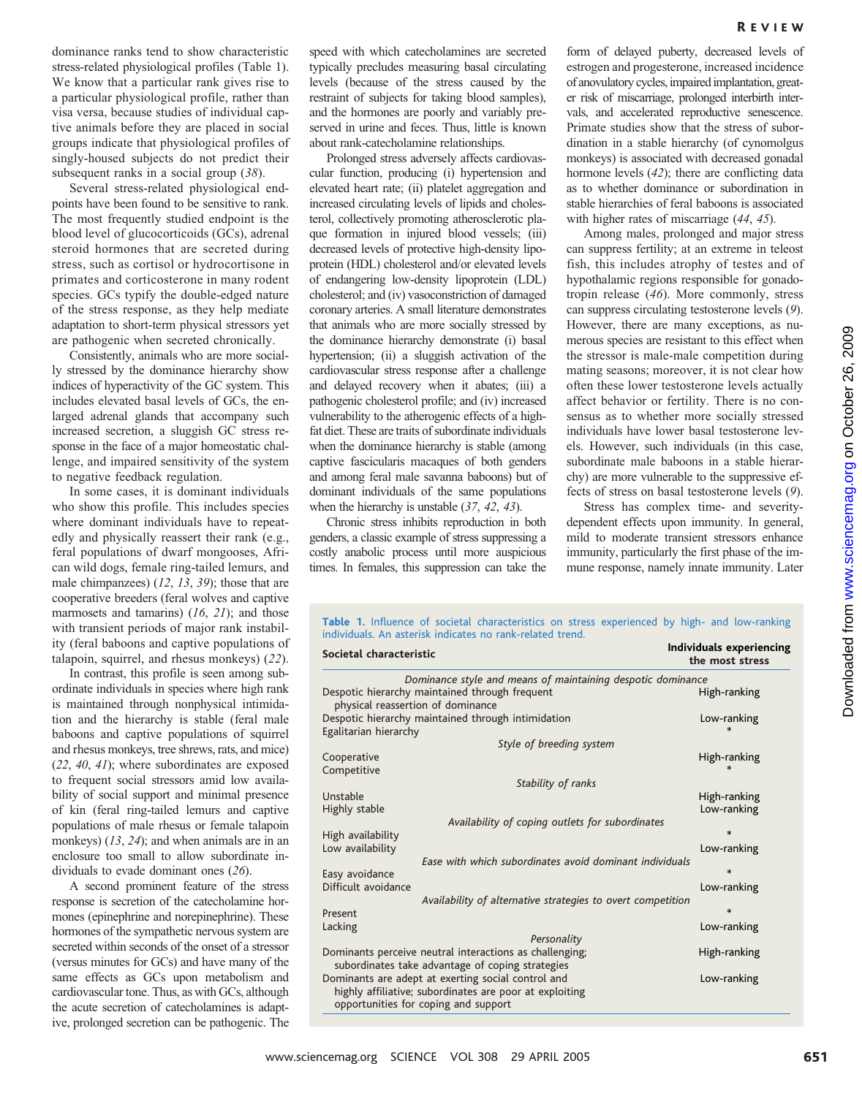dominance ranks tend to show characteristic stress-related physiological profiles (Table 1). We know that a particular rank gives rise to a particular physiological profile, rather than visa versa, because studies of individual captive animals before they are placed in social groups indicate that physiological profiles of singly-housed subjects do not predict their subsequent ranks in a social group (38).

Several stress-related physiological endpoints have been found to be sensitive to rank. The most frequently studied endpoint is the blood level of glucocorticoids (GCs), adrenal steroid hormones that are secreted during stress, such as cortisol or hydrocortisone in primates and corticosterone in many rodent species. GCs typify the double-edged nature of the stress response, as they help mediate adaptation to short-term physical stressors yet are pathogenic when secreted chronically.

Consistently, animals who are more socially stressed by the dominance hierarchy show indices of hyperactivity of the GC system. This includes elevated basal levels of GCs, the enlarged adrenal glands that accompany such increased secretion, a sluggish GC stress response in the face of a major homeostatic challenge, and impaired sensitivity of the system to negative feedback regulation.

In some cases, it is dominant individuals who show this profile. This includes species where dominant individuals have to repeatedly and physically reassert their rank (e.g., feral populations of dwarf mongooses, African wild dogs, female ring-tailed lemurs, and male chimpanzees) (12, 13, 39); those that are cooperative breeders (feral wolves and captive marmosets and tamarins)  $(16, 21)$ ; and those with transient periods of major rank instability (feral baboons and captive populations of talapoin, squirrel, and rhesus monkeys) (22).

In contrast, this profile is seen among subordinate individuals in species where high rank is maintained through nonphysical intimidation and the hierarchy is stable (feral male baboons and captive populations of squirrel and rhesus monkeys, tree shrews, rats, and mice)  $(22, 40, 41)$ ; where subordinates are exposed to frequent social stressors amid low availability of social support and minimal presence of kin (feral ring-tailed lemurs and captive populations of male rhesus or female talapoin monkeys) (13, 24); and when animals are in an enclosure too small to allow subordinate individuals to evade dominant ones (26).

A second prominent feature of the stress response is secretion of the catecholamine hormones (epinephrine and norepinephrine). These hormones of the sympathetic nervous system are secreted within seconds of the onset of a stressor (versus minutes for GCs) and have many of the same effects as GCs upon metabolism and cardiovascular tone. Thus, as with GCs, although the acute secretion of catecholamines is adaptive, prolonged secretion can be pathogenic. The

speed with which catecholamines are secreted typically precludes measuring basal circulating levels (because of the stress caused by the restraint of subjects for taking blood samples), and the hormones are poorly and variably preserved in urine and feces. Thus, little is known about rank-catecholamine relationships.

Prolonged stress adversely affects cardiovascular function, producing (i) hypertension and elevated heart rate; (ii) platelet aggregation and increased circulating levels of lipids and cholesterol, collectively promoting atherosclerotic plaque formation in injured blood vessels; (iii) decreased levels of protective high-density lipoprotein (HDL) cholesterol and/or elevated levels of endangering low-density lipoprotein (LDL) cholesterol; and (iv) vasoconstriction of damaged coronary arteries. A small literature demonstrates that animals who are more socially stressed by the dominance hierarchy demonstrate (i) basal hypertension; (ii) a sluggish activation of the cardiovascular stress response after a challenge and delayed recovery when it abates; (iii) a pathogenic cholesterol profile; and (iv) increased vulnerability to the atherogenic effects of a highfat diet. These are traits of subordinate individuals when the dominance hierarchy is stable (among captive fascicularis macaques of both genders and among feral male savanna baboons) but of dominant individuals of the same populations when the hierarchy is unstable  $(37, 42, 43)$ .

Chronic stress inhibits reproduction in both genders, a classic example of stress suppressing a costly anabolic process until more auspicious times. In females, this suppression can take the

form of delayed puberty, decreased levels of estrogen and progesterone, increased incidence of anovulatory cycles, impaired implantation, greater risk of miscarriage, prolonged interbirth intervals, and accelerated reproductive senescence. Primate studies show that the stress of subordination in a stable hierarchy (of cynomolgus monkeys) is associated with decreased gonadal hormone levels (42); there are conflicting data as to whether dominance or subordination in stable hierarchies of feral baboons is associated with higher rates of miscarriage  $(44, 45)$ .

Among males, prolonged and major stress can suppress fertility; at an extreme in teleost fish, this includes atrophy of testes and of hypothalamic regions responsible for gonadotropin release (46). More commonly, stress can suppress circulating testosterone levels (9). However, there are many exceptions, as numerous species are resistant to this effect when the stressor is male-male competition during mating seasons; moreover, it is not clear how often these lower testosterone levels actually affect behavior or fertility. There is no consensus as to whether more socially stressed individuals have lower basal testosterone levels. However, such individuals (in this case, subordinate male baboons in a stable hierarchy) are more vulnerable to the suppressive effects of stress on basal testosterone levels (9).

Stress has complex time- and severitydependent effects upon immunity. In general, mild to moderate transient stressors enhance immunity, particularly the first phase of the immune response, namely innate immunity. Later

| Societal characteristic                                                                                                    |                                                             | Individuals experiencing<br>the most stress |
|----------------------------------------------------------------------------------------------------------------------------|-------------------------------------------------------------|---------------------------------------------|
|                                                                                                                            | Dominance style and means of maintaining despotic dominance |                                             |
| Despotic hierarchy maintained through frequent<br>physical reassertion of dominance                                        |                                                             | High-ranking                                |
| Egalitarian hierarchy                                                                                                      | Despotic hierarchy maintained through intimidation          | Low-ranking                                 |
|                                                                                                                            | Style of breeding system                                    |                                             |
| Cooperative<br>Competitive                                                                                                 |                                                             | High-ranking                                |
|                                                                                                                            | Stability of ranks                                          |                                             |
| Unstable<br>Highly stable                                                                                                  |                                                             | High-ranking<br>Low-ranking                 |
|                                                                                                                            | Availability of coping outlets for subordinates             |                                             |
| High availability                                                                                                          |                                                             | $\ast$                                      |
| Low availability                                                                                                           |                                                             | Low-ranking                                 |
| Easy avoidance                                                                                                             | Ease with which subordinates avoid dominant individuals     | *                                           |
| Difficult avoidance                                                                                                        |                                                             | Low-ranking                                 |
|                                                                                                                            | Availability of alternative strategies to overt competition |                                             |
| Present                                                                                                                    |                                                             | $\ast$                                      |
| Lacking                                                                                                                    |                                                             | Low-ranking                                 |
| Personality<br>Dominants perceive neutral interactions as challenging;<br>subordinates take advantage of coping strategies |                                                             | High-ranking                                |
| Dominants are adept at exerting social control and<br>highly affiliative; subordinates are poor at exploiting              |                                                             | Low-ranking                                 |

opportunities for coping and support